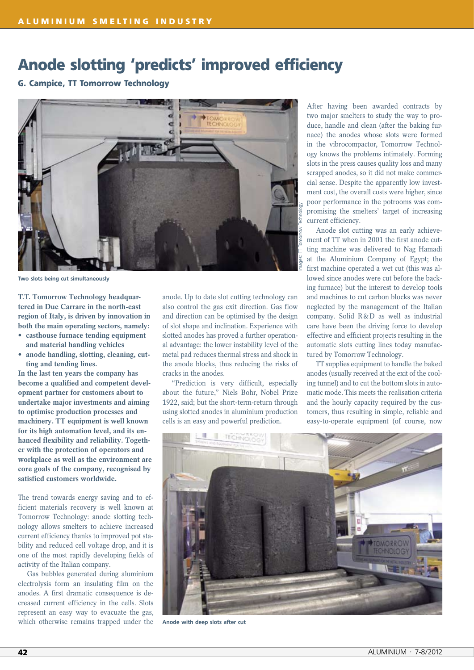## **Anode slotting 'predicts' improved efficiency**

## **G. Campice, TT Tomorrow Technology**



Two slots being cut simultaneously

**T.T. Tomorrow Technology headquartered in Due Carrare in the north-east region of Italy, is driven by innovation in both the main operating sectors, namely:**

- **• casthouse furnace tending equipment and material handling vehicles**
- **• anode handling, slotting, cleaning, cutting and tending lines.**

**In the last ten years the company has become a qualified and competent development partner for customers about to undertake major investments and aiming to optimise production processes and machinery. TT equipment is well known for its high automation level, and its enhanced flexibility and reliability. Together with the protection of operators and workplace as well as the environment are core goals of the company, recognised by satisfied customers worldwide.**

The trend towards energy saving and to efficient materials recovery is well known at Tomorrow Technology: anode slotting technology allows smelters to achieve increased current efficiency thanks to improved pot stability and reduced cell voltage drop, and it is one of the most rapidly developing fields of activity of the Italian company.

Gas bubbles generated during aluminium electrolysis form an insulating film on the anodes. A first dramatic consequence is decreased current efficiency in the cells. Slots represent an easy way to evacuate the gas, which otherwise remains trapped under the

anode. Up to date slot cutting technology can also control the gas exit direction. Gas flow and direction can be optimised by the design of slot shape and inclination. Experience with slotted anodes has proved a further operational advantage: the lower instability level of the metal pad reduces thermal stress and shock in the anode blocks, thus reducing the risks of cracks in the anodes.

"Prediction is very difficult, especially about the future," Niels Bohr, Nobel Prize 1922, said; but the short-term-return through using slotted anodes in aluminium production cells is an easy and powerful prediction.

After having been awarded contracts by two major smelters to study the way to produce, handle and clean (after the baking furnace) the anodes whose slots were formed in the vibrocompactor, Tomorrow Technology knows the problems intimately. Forming slots in the press causes quality loss and many scrapped anodes, so it did not make commercial sense. Despite the apparently low investment cost, the overall costs were higher, since poor performance in the potrooms was compromising the smelters' target of increasing current efficiency.

Anode slot cutting was an early achievement of TT when in 2001 the first anode cutting machine was delivered to Nag Hamadi at the Aluminium Company of Egypt; the first machine operated a wet cut (this was allowed since anodes were cut before the backing furnace) but the interest to develop tools and machines to cut carbon blocks was never neglected by the management of the Italian company. Solid R&D as well as industrial care have been the driving force to develop effective and efficient projects resulting in the automatic slots cutting lines today manufactured by Tomorrow Technology.

TT supplies equipment to handle the baked anodes (usually received at the exit of the cooling tunnel) and to cut the bottom slots in automatic mode. This meets the realisation criteria and the hourly capacity required by the customers, thus resulting in simple, reliable and easy-to-operate equipment (of course, now



Anode with deep slots after cut